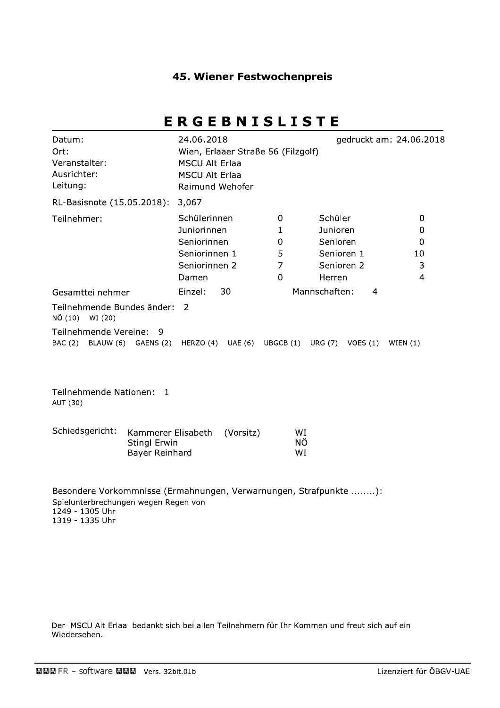### **45. Wiener Festwochenpreis**

# ERGEBNISLISTE

| 24.06.2018<br><b>MSCU Alt Erlaa</b><br><b>MSCU Alt Erlaa</b>                          |                                   |                                                                       | gedruckt am: 24.06.2018                                                  |
|---------------------------------------------------------------------------------------|-----------------------------------|-----------------------------------------------------------------------|--------------------------------------------------------------------------|
| 3,067                                                                                 |                                   |                                                                       |                                                                          |
| Schülerinnen<br>Juniorinnen<br>Seniorinnen<br>Seniorinnen 1<br>Seniorinnen 2<br>Damen | 0<br>1<br>$\Omega$<br>5<br>7<br>0 | Schüler<br>Junioren<br>Senioren<br>Senioren 1<br>Senioren 2<br>Herren | 0<br>0<br>0<br>10<br>3<br>4                                              |
| 30<br>Einzel:                                                                         |                                   | 4                                                                     |                                                                          |
| 2                                                                                     |                                   | VOES $(1)$                                                            | WIEN $(1)$                                                               |
|                                                                                       | Teilnehmende Bundesländer:        | Raimund Wehofer<br>BAC (2) BLAUW (6) GAENS (2) HERZO (4) UAE (6)      | Wien, Erlaaer Straße 56 (Filzgolf)<br>Mannschaften:<br>UBGCB (1) URG (7) |

Teilnehmende Nationen: 1 AUT (30)

| Schiedsgericht: | Kammerer Elisabeth (Vorsitz) | WI  |
|-----------------|------------------------------|-----|
|                 | Stingl Erwin                 | NO. |
|                 | Bayer Reinhard               | wт  |

Besondere Vorkommnisse (Ermahnungen, Verwarnungen, Strafpunkte ........): Spielunterbrechungen wegen Regen von 1249 - 1305 Uhr 1319 - 1335 Uhr

Der MSCU Alt Erlaa bedankt sich bei allen Teilnehmern für Ihr Kommen und freut sich auf ein Wiedersehen.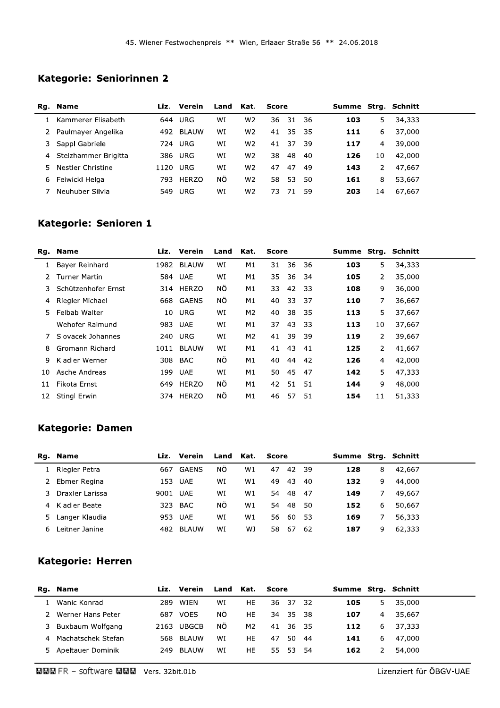# Kategorie: Seniorinnen 2

|    | Rg. Name             | Liz. | Verein       | Land Kat. |                | Score |       |     |     |    |        | Summe Strg. Schnitt |  |
|----|----------------------|------|--------------|-----------|----------------|-------|-------|-----|-----|----|--------|---------------------|--|
|    | Kammerer Elisabeth   | 644  | URG          | WI        | W <sub>2</sub> | 36    | 31 36 |     | 103 | 5. | 34,333 |                     |  |
|    | Paulmayer Angelika   |      | 492 BLAUW    | WI        | W <sub>2</sub> | 41    | 35 35 |     | 111 | 6  | 37,000 |                     |  |
|    | 3 Sappl Gabriele     | 724  | <b>URG</b>   | WI        | W <sub>2</sub> | 41    | 37    | -39 | 117 | 4  | 39,000 |                     |  |
| 4  | Stelzhammer Brigitta |      | 386 URG      | WI        | W <sub>2</sub> | 38    | 48    | -40 | 126 | 10 | 42,000 |                     |  |
| 5. | Nestler Christine    | 1120 | URG          | WI        | W <sub>2</sub> | 47    | 47    | -49 | 143 | 2  | 47,667 |                     |  |
| 6  | Feiwickl Helga       | 793. | <b>HERZO</b> | ΝÔ        | W <sub>2</sub> | 58    | 53    | 50  | 161 | 8  | 53,667 |                     |  |
|    | Neuhuber Silvia      | 549  | URG          | WI        | W <sub>2</sub> | 73.   | 71    | .59 | 203 | 14 | 67,667 |                     |  |
|    |                      |      |              |           |                |       |       |     |     |    |        |                     |  |

# Kategorie: Senioren 1

|    | Rg. Name             |      | Liz. Verein | Land | Kat.           | <b>Score</b> |    |      |     | Summe Strg. Schnitt |        |  |
|----|----------------------|------|-------------|------|----------------|--------------|----|------|-----|---------------------|--------|--|
|    | Bayer Reinhard       | 1982 | BLAUW       | WI   | M1             | 31           | 36 | 36   | 103 | 5.                  | 34,333 |  |
|    | <b>Turner Martin</b> |      | 584 UAE     | WI   | M1             | 35           | 36 | -34  | 105 | 2                   | 35,000 |  |
| 3. | Schützenhofer Ernst  |      | 314 HERZO   | ΝÖ   | M1             | 33           | 42 | - 33 | 108 | 9                   | 36,000 |  |
| 4  | Riegler Michael      |      | 668 GAENS   | ΝÔ   | M1             | 40           | 33 | 37   | 110 | 7                   | 36,667 |  |
| 5. | Felbab Walter        | 10   | URG         | WI   | M <sub>2</sub> | 40           | 38 | 35   | 113 | 5.                  | 37,667 |  |
|    | Wehofer Raimund      | 983  | UAE         | WI   | M1             | 37           | 43 | 33   | 113 | 10                  | 37,667 |  |
|    | Slovacek Johannes    | 240  | URG         | WI   | M2             | 41           | 39 | 39   | 119 | 2                   | 39,667 |  |
| 8  | Gromann Richard      | 1011 | BLAUW       | WI   | M1             | 41           | 43 | -41  | 125 | $\mathbf{2}$        | 41,667 |  |
| 9  | Kladler Werner       |      | 308 BAC     | NÖ.  | M1             | 40           | 44 | -42  | 126 | 4                   | 42,000 |  |
| 10 | Asche Andreas        | 199  | <b>UAE</b>  | WI   | M1             | 50           | 45 | 47   | 142 | 5.                  | 47,333 |  |
| 11 | Fikota Ernst         | 649  | HERZO       | ΝÖ   | M1             | 42           | 51 | 51   | 144 | 9                   | 48,000 |  |
| 12 | Stingl Erwin         | 374  | HERZO       | ΝÖ   | M1             | 46           | 57 | 51   | 154 | 11                  | 51,333 |  |
|    |                      |      |             |      |                |              |    |      |     |                     |        |  |

### **Kategorie: Damen**

|    | Rg. Name        |          | Liz. Verein | Land Kat. |    | Score |       |     | Summe Strg. Schnitt |    |        |  |
|----|-----------------|----------|-------------|-----------|----|-------|-------|-----|---------------------|----|--------|--|
|    | Riegler Petra   | 667      | GAENS       | ΝÕ        | W1 | 47    | 42 39 |     | 128                 | 8  | 42.667 |  |
| 2  | Ebmer Regina    |          | 153 UAE     | WI        | W1 | 49    | 43    | -40 | 132                 | 9. | 44,000 |  |
| 3. | Draxler Larissa | 9001 UAE |             | WI        | W1 | 54    | -48   | -47 | 149                 |    | 49,667 |  |
| 4  | Kladler Beate   | 323      | <b>BAC</b>  | <b>NO</b> | W1 | 54    | -48   | -50 | 152                 | 6  | 50,667 |  |
| 5. | Langer Klaudia  |          | 953 UAE     | WI        | W1 | 56.   | -60   | -53 | 169                 |    | 56,333 |  |
| 6  | Leitner Janine  |          | 482 BLAUW   | WI        | WJ | 58    | -67   | -62 | 187                 | 9  | 62,333 |  |

## **Kategorie: Herren**

|    | Rg. Name           | Liz. | Verein       | Land Kat. |                | Score |           |     |     | Summe Strg. Schnitt |        |  |
|----|--------------------|------|--------------|-----------|----------------|-------|-----------|-----|-----|---------------------|--------|--|
|    | Wanic Konrad       |      | 289 WIEN     | WI        | HE.            |       | 36 37 32  |     | 105 | 5                   | 35,000 |  |
|    | Werner Hans Peter  | 687  | <b>VOES</b>  | ΝÕ        | HE.            |       | 34 35 38  |     | 107 | 4                   | 35.667 |  |
|    | 3 Buxbaum Wolfgang | 2163 | <b>UBGCB</b> | -NÖ       | M <sub>2</sub> |       | 41 36 35  |     | 112 | 6                   | 37,333 |  |
| 4  | Machatschek Stefan |      | 568 BLAUW    | WI        | HE.            | 47    | 50.       | -44 | 141 | 6                   | 47,000 |  |
| 5. | Apeltauer Dominik  | 249  | BLAUW        | WI        | HE.            | 55.   | - 53 - 54 |     | 162 |                     | 54,000 |  |